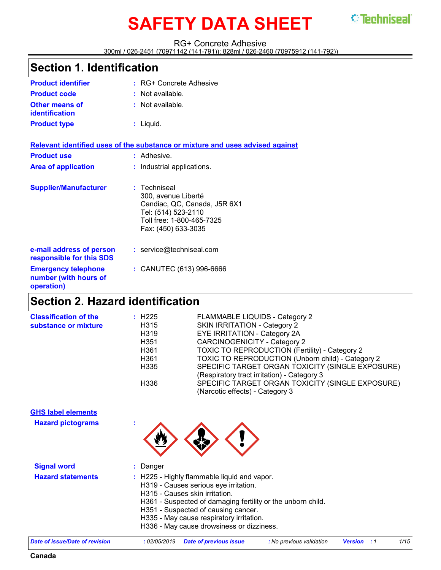# **SAFETY DATA SHEET STEEDINGERY**

#### RG+ Concrete Adhesive

300ml / 026-2451 (70971142 (141-791)); 828ml / 026-2460 (70975912 (141-792))

### **Section 1. Identification**

| <b>Product identifier</b>                                         | : RG+ Concrete Adhesive                                                                                                                        |
|-------------------------------------------------------------------|------------------------------------------------------------------------------------------------------------------------------------------------|
| <b>Product code</b>                                               | : Not available.                                                                                                                               |
| Other means of<br>identification                                  | : Not available.                                                                                                                               |
| <b>Product type</b>                                               | $:$ Liquid.                                                                                                                                    |
|                                                                   | Relevant identified uses of the substance or mixture and uses advised against                                                                  |
| <b>Product use</b>                                                | : Adhesive.                                                                                                                                    |
| <b>Area of application</b>                                        | : Industrial applications.                                                                                                                     |
| <b>Supplier/Manufacturer</b>                                      | : Techniseal<br>300, avenue Liberté<br>Candiac, QC, Canada, J5R 6X1<br>Tel: (514) 523-2110<br>Toll free: 1-800-465-7325<br>Fax: (450) 633-3035 |
| e-mail address of person<br>responsible for this SDS              | : service@techniseal.com                                                                                                                       |
| <b>Emergency telephone</b><br>number (with hours of<br>operation) | : CANUTEC (613) 996-6666                                                                                                                       |

### **Section 2. Hazard identification**

| <b>Classification of the</b> | $\div$ H225      | FLAMMABLE LIQUIDS - Category 2                    |
|------------------------------|------------------|---------------------------------------------------|
| substance or mixture         | H315             | SKIN IRRITATION - Category 2                      |
|                              | H319             | EYE IRRITATION - Category 2A                      |
|                              | H <sub>351</sub> | <b>CARCINOGENICITY - Category 2</b>               |
|                              | H <sub>361</sub> | TOXIC TO REPRODUCTION (Fertility) - Category 2    |
|                              | H <sub>361</sub> | TOXIC TO REPRODUCTION (Unborn child) - Category 2 |
|                              | H335             | SPECIFIC TARGET ORGAN TOXICITY (SINGLE EXPOSURE)  |
|                              |                  | (Respiratory tract irritation) - Category 3       |
|                              | H336             | SPECIFIC TARGET ORGAN TOXICITY (SINGLE EXPOSURE)  |
|                              |                  | (Narcotic effects) - Category 3                   |
|                              |                  |                                                   |

#### **GHS label elements**

**Hazard pictograms :**



| <b>Signal word</b>       | $:$ Danger                                                                                                                                                                                                                                                                                                            |
|--------------------------|-----------------------------------------------------------------------------------------------------------------------------------------------------------------------------------------------------------------------------------------------------------------------------------------------------------------------|
| <b>Hazard statements</b> | : H225 - Highly flammable liquid and vapor.<br>H319 - Causes serious eye irritation.<br>H315 - Causes skin irritation.<br>H361 - Suspected of damaging fertility or the unborn child.<br>H351 - Suspected of causing cancer.<br>H335 - May cause respiratory irritation.<br>H336 - May cause drowsiness or dizziness. |

| Date of issue/Date of revision |  | : 02/05/2019 Date of previous issue | No previous validation <b>Version</b> : 1 |  |  | 1/15 |
|--------------------------------|--|-------------------------------------|-------------------------------------------|--|--|------|
|--------------------------------|--|-------------------------------------|-------------------------------------------|--|--|------|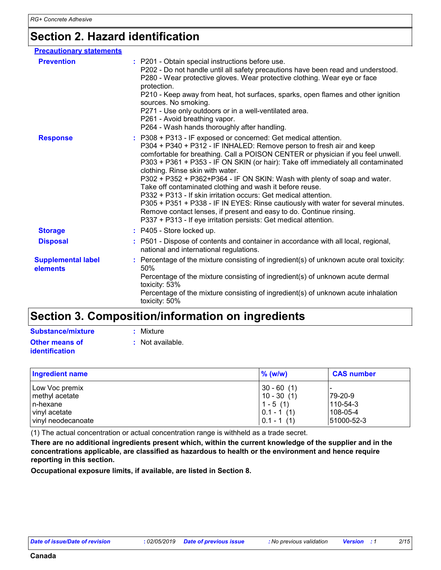### **Section 2. Hazard identification**

| <b>Precautionary statements</b>       |                                                                                                                                                                                                                                                                                                                                                                                                                                                                                                                                                                                                                                                                                                                                                                                                 |
|---------------------------------------|-------------------------------------------------------------------------------------------------------------------------------------------------------------------------------------------------------------------------------------------------------------------------------------------------------------------------------------------------------------------------------------------------------------------------------------------------------------------------------------------------------------------------------------------------------------------------------------------------------------------------------------------------------------------------------------------------------------------------------------------------------------------------------------------------|
| <b>Prevention</b>                     | : P201 - Obtain special instructions before use.<br>P202 - Do not handle until all safety precautions have been read and understood.<br>P280 - Wear protective gloves. Wear protective clothing. Wear eye or face<br>protection.<br>P210 - Keep away from heat, hot surfaces, sparks, open flames and other ignition<br>sources. No smoking.<br>P271 - Use only outdoors or in a well-ventilated area.<br>P261 - Avoid breathing vapor.<br>P264 - Wash hands thoroughly after handling.                                                                                                                                                                                                                                                                                                         |
| <b>Response</b>                       | : P308 + P313 - IF exposed or concerned: Get medical attention.<br>P304 + P340 + P312 - IF INHALED: Remove person to fresh air and keep<br>comfortable for breathing. Call a POISON CENTER or physician if you feel unwell.<br>P303 + P361 + P353 - IF ON SKIN (or hair): Take off immediately all contaminated<br>clothing. Rinse skin with water.<br>P302 + P352 + P362+P364 - IF ON SKIN: Wash with plenty of soap and water.<br>Take off contaminated clothing and wash it before reuse.<br>P332 + P313 - If skin irritation occurs: Get medical attention.<br>P305 + P351 + P338 - IF IN EYES: Rinse cautiously with water for several minutes.<br>Remove contact lenses, if present and easy to do. Continue rinsing.<br>P337 + P313 - If eye irritation persists: Get medical attention. |
| <b>Storage</b>                        | : P405 - Store locked up.                                                                                                                                                                                                                                                                                                                                                                                                                                                                                                                                                                                                                                                                                                                                                                       |
| <b>Disposal</b>                       | : P501 - Dispose of contents and container in accordance with all local, regional,<br>national and international regulations.                                                                                                                                                                                                                                                                                                                                                                                                                                                                                                                                                                                                                                                                   |
| <b>Supplemental label</b><br>elements | : Percentage of the mixture consisting of ingredient(s) of unknown acute oral toxicity:<br>50%<br>Percentage of the mixture consisting of ingredient(s) of unknown acute dermal<br>toxicity: 53%<br>Percentage of the mixture consisting of ingredient(s) of unknown acute inhalation<br>toxicity: 50%                                                                                                                                                                                                                                                                                                                                                                                                                                                                                          |

### **Section 3. Composition/information on ingredients**

| <b>Substance/mixture</b> | : Mixture        |
|--------------------------|------------------|
| <b>Other means of</b>    | : Not available. |
| identification           |                  |

| <b>Ingredient name</b>                                                              | $\%$ (w/w)                                                                 | <b>CAS number</b>                                   |
|-------------------------------------------------------------------------------------|----------------------------------------------------------------------------|-----------------------------------------------------|
| Low Voc premix<br>methyl acetate<br>n-hexane<br>vinyl acetate<br>vinyl neodecanoate | $30 - 60(1)$<br>$10 - 30(1)$<br>$1 - 5(1)$<br>$0.1 - 1(1)$<br>$0.1 - 1(1)$ | 79-20-9<br>$110 - 54 - 3$<br>108-05-4<br>51000-52-3 |

(1) The actual concentration or actual concentration range is withheld as a trade secret.

**There are no additional ingredients present which, within the current knowledge of the supplier and in the concentrations applicable, are classified as hazardous to health or the environment and hence require reporting in this section.**

**Occupational exposure limits, if available, are listed in Section 8.**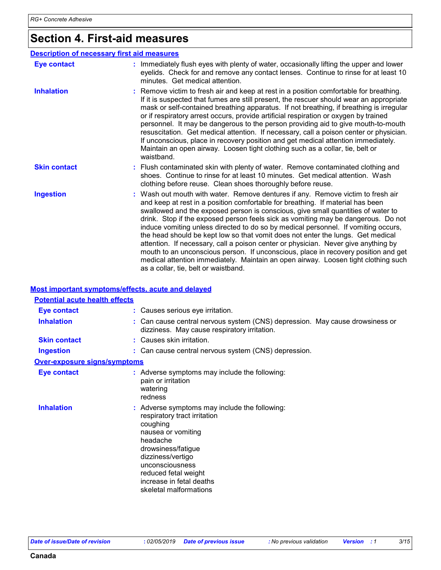### **Section 4. First-aid measures**

#### : Wash out mouth with water. Remove dentures if any. Remove victim to fresh air and keep at rest in a position comfortable for breathing. If material has been swallowed and the exposed person is conscious, give small quantities of water to drink. Stop if the exposed person feels sick as vomiting may be dangerous. Do not induce vomiting unless directed to do so by medical personnel. If vomiting occurs, the head should be kept low so that vomit does not enter the lungs. Get medical attention. If necessary, call a poison center or physician. Never give anything by mouth to an unconscious person. If unconscious, place in recovery position and get medical attention immediately. Maintain an open airway. Loosen tight clothing such as a collar, tie, belt or waistband. **:** Immediately flush eyes with plenty of water, occasionally lifting the upper and lower eyelids. Check for and remove any contact lenses. Continue to rinse for at least 10 minutes. Get medical attention. Flush contaminated skin with plenty of water. Remove contaminated clothing and **:** shoes. Continue to rinse for at least 10 minutes. Get medical attention. Wash clothing before reuse. Clean shoes thoroughly before reuse. Remove victim to fresh air and keep at rest in a position comfortable for breathing. **:** If it is suspected that fumes are still present, the rescuer should wear an appropriate mask or self-contained breathing apparatus. If not breathing, if breathing is irregular or if respiratory arrest occurs, provide artificial respiration or oxygen by trained personnel. It may be dangerous to the person providing aid to give mouth-to-mouth resuscitation. Get medical attention. If necessary, call a poison center or physician. If unconscious, place in recovery position and get medical attention immediately. Maintain an open airway. Loosen tight clothing such as a collar, tie, belt or waistband. **Eye contact Skin contact Inhalation Ingestion : Description of necessary first aid measures**

#### **Most important symptoms/effects, acute and delayed**

| <b>Potential acute health effects</b> |                                                                                                                                                                                                                                                                         |
|---------------------------------------|-------------------------------------------------------------------------------------------------------------------------------------------------------------------------------------------------------------------------------------------------------------------------|
| <b>Eye contact</b>                    | : Causes serious eye irritation.                                                                                                                                                                                                                                        |
| <b>Inhalation</b>                     | : Can cause central nervous system (CNS) depression. May cause drowsiness or<br>dizziness. May cause respiratory irritation.                                                                                                                                            |
| <b>Skin contact</b>                   | : Causes skin irritation.                                                                                                                                                                                                                                               |
| <b>Ingestion</b>                      | : Can cause central nervous system (CNS) depression.                                                                                                                                                                                                                    |
| <b>Over-exposure signs/symptoms</b>   |                                                                                                                                                                                                                                                                         |
| <b>Eye contact</b>                    | : Adverse symptoms may include the following:<br>pain or irritation<br>watering<br>redness                                                                                                                                                                              |
| <b>Inhalation</b>                     | : Adverse symptoms may include the following:<br>respiratory tract irritation<br>coughing<br>nausea or vomiting<br>headache<br>drowsiness/fatigue<br>dizziness/vertigo<br>unconsciousness<br>reduced fetal weight<br>increase in fetal deaths<br>skeletal malformations |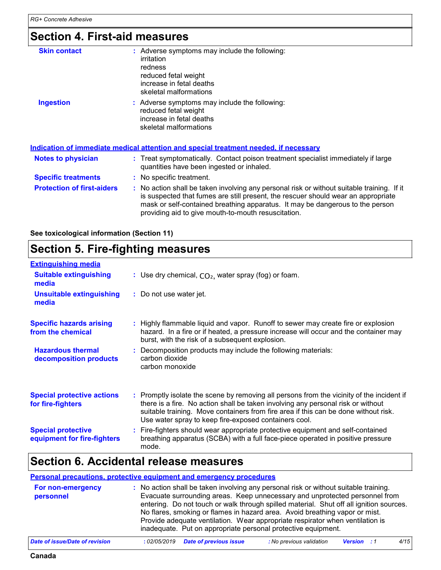### **Section 4. First-aid measures**

| <b>Skin contact</b>               | : Adverse symptoms may include the following:<br>irritation<br>redness<br>reduced fetal weight<br>increase in fetal deaths<br>skeletal malformations                                                                                                                                                                    |
|-----------------------------------|-------------------------------------------------------------------------------------------------------------------------------------------------------------------------------------------------------------------------------------------------------------------------------------------------------------------------|
| <b>Ingestion</b>                  | : Adverse symptoms may include the following:                                                                                                                                                                                                                                                                           |
|                                   | reduced fetal weight<br>increase in fetal deaths                                                                                                                                                                                                                                                                        |
|                                   | skeletal malformations                                                                                                                                                                                                                                                                                                  |
|                                   |                                                                                                                                                                                                                                                                                                                         |
|                                   | <b>Indication of immediate medical attention and special treatment needed, if necessary</b>                                                                                                                                                                                                                             |
| Notes to physician                | : Treat symptomatically. Contact poison treatment specialist immediately if large<br>quantities have been ingested or inhaled.                                                                                                                                                                                          |
| <b>Specific treatments</b>        | : No specific treatment.                                                                                                                                                                                                                                                                                                |
| <b>Protection of first-aiders</b> | : No action shall be taken involving any personal risk or without suitable training. If it<br>is suspected that fumes are still present, the rescuer should wear an appropriate<br>mask or self-contained breathing apparatus. It may be dangerous to the person<br>providing aid to give mouth-to-mouth resuscitation. |

**See toxicological information (Section 11)**

### **Section 5. Fire-fighting measures**

| <b>Extinguishing media</b>                               |                                                                                                                                                                                                                                                                                                                               |
|----------------------------------------------------------|-------------------------------------------------------------------------------------------------------------------------------------------------------------------------------------------------------------------------------------------------------------------------------------------------------------------------------|
| <b>Suitable extinguishing</b><br>media                   | : Use dry chemical, $CO2$ , water spray (fog) or foam.                                                                                                                                                                                                                                                                        |
| Unsuitable extinguishing<br>media                        | : Do not use water jet.                                                                                                                                                                                                                                                                                                       |
| <b>Specific hazards arising</b><br>from the chemical     | : Highly flammable liquid and vapor. Runoff to sewer may create fire or explosion<br>hazard. In a fire or if heated, a pressure increase will occur and the container may<br>burst, with the risk of a subsequent explosion.                                                                                                  |
| <b>Hazardous thermal</b><br>decomposition products       | : Decomposition products may include the following materials:<br>carbon dioxide<br>carbon monoxide                                                                                                                                                                                                                            |
| <b>Special protective actions</b><br>for fire-fighters   | : Promptly isolate the scene by removing all persons from the vicinity of the incident if<br>there is a fire. No action shall be taken involving any personal risk or without<br>suitable training. Move containers from fire area if this can be done without risk.<br>Use water spray to keep fire-exposed containers cool. |
| <b>Special protective</b><br>equipment for fire-fighters | : Fire-fighters should wear appropriate protective equipment and self-contained<br>breathing apparatus (SCBA) with a full face-piece operated in positive pressure<br>mode.                                                                                                                                                   |

### **Section 6. Accidental release measures**

#### **Personal precautions, protective equipment and emergency procedures**

| For non-emergency | : No action shall be taken involving any personal risk or without suitable training.                                                                                                                                                                                                                                                                                                                    |
|-------------------|---------------------------------------------------------------------------------------------------------------------------------------------------------------------------------------------------------------------------------------------------------------------------------------------------------------------------------------------------------------------------------------------------------|
| personnel         | Evacuate surrounding areas. Keep unnecessary and unprotected personnel from<br>entering. Do not touch or walk through spilled material. Shut off all ignition sources.<br>No flares, smoking or flames in hazard area. Avoid breathing vapor or mist.<br>Provide adequate ventilation. Wear appropriate respirator when ventilation is<br>inadequate. Put on appropriate personal protective equipment. |
|                   |                                                                                                                                                                                                                                                                                                                                                                                                         |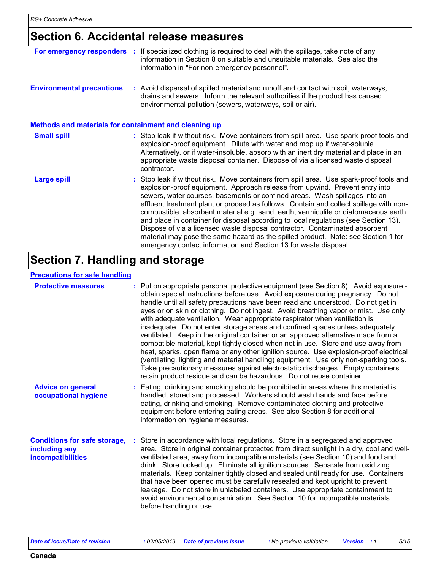### **Section 6. Accidental release measures**

| For emergency responders                                     | If specialized clothing is required to deal with the spillage, take note of any<br>information in Section 8 on suitable and unsuitable materials. See also the<br>information in "For non-emergency personnel".                                                                                                                                                                                                                                                                                                                                                                                                                                                                                                                                                       |
|--------------------------------------------------------------|-----------------------------------------------------------------------------------------------------------------------------------------------------------------------------------------------------------------------------------------------------------------------------------------------------------------------------------------------------------------------------------------------------------------------------------------------------------------------------------------------------------------------------------------------------------------------------------------------------------------------------------------------------------------------------------------------------------------------------------------------------------------------|
| <b>Environmental precautions</b>                             | : Avoid dispersal of spilled material and runoff and contact with soil, waterways,<br>drains and sewers. Inform the relevant authorities if the product has caused<br>environmental pollution (sewers, waterways, soil or air).                                                                                                                                                                                                                                                                                                                                                                                                                                                                                                                                       |
| <b>Methods and materials for containment and cleaning up</b> |                                                                                                                                                                                                                                                                                                                                                                                                                                                                                                                                                                                                                                                                                                                                                                       |
| <b>Small spill</b>                                           | : Stop leak if without risk. Move containers from spill area. Use spark-proof tools and<br>explosion-proof equipment. Dilute with water and mop up if water-soluble.<br>Alternatively, or if water-insoluble, absorb with an inert dry material and place in an<br>appropriate waste disposal container. Dispose of via a licensed waste disposal<br>contractor.                                                                                                                                                                                                                                                                                                                                                                                                      |
| <b>Large spill</b>                                           | : Stop leak if without risk. Move containers from spill area. Use spark-proof tools and<br>explosion-proof equipment. Approach release from upwind. Prevent entry into<br>sewers, water courses, basements or confined areas. Wash spillages into an<br>effluent treatment plant or proceed as follows. Contain and collect spillage with non-<br>combustible, absorbent material e.g. sand, earth, vermiculite or diatomaceous earth<br>and place in container for disposal according to local regulations (see Section 13).<br>Dispose of via a licensed waste disposal contractor. Contaminated absorbent<br>material may pose the same hazard as the spilled product. Note: see Section 1 for<br>emergency contact information and Section 13 for waste disposal. |

### **Section 7. Handling and storage**

#### **Precautions for safe handling**

| <b>Protective measures</b>                                                       | : Put on appropriate personal protective equipment (see Section 8). Avoid exposure -<br>obtain special instructions before use. Avoid exposure during pregnancy. Do not<br>handle until all safety precautions have been read and understood. Do not get in<br>eyes or on skin or clothing. Do not ingest. Avoid breathing vapor or mist. Use only<br>with adequate ventilation. Wear appropriate respirator when ventilation is<br>inadequate. Do not enter storage areas and confined spaces unless adequately<br>ventilated. Keep in the original container or an approved alternative made from a<br>compatible material, kept tightly closed when not in use. Store and use away from<br>heat, sparks, open flame or any other ignition source. Use explosion-proof electrical<br>(ventilating, lighting and material handling) equipment. Use only non-sparking tools.<br>Take precautionary measures against electrostatic discharges. Empty containers<br>retain product residue and can be hazardous. Do not reuse container. |
|----------------------------------------------------------------------------------|----------------------------------------------------------------------------------------------------------------------------------------------------------------------------------------------------------------------------------------------------------------------------------------------------------------------------------------------------------------------------------------------------------------------------------------------------------------------------------------------------------------------------------------------------------------------------------------------------------------------------------------------------------------------------------------------------------------------------------------------------------------------------------------------------------------------------------------------------------------------------------------------------------------------------------------------------------------------------------------------------------------------------------------|
| <b>Advice on general</b><br>occupational hygiene                                 | : Eating, drinking and smoking should be prohibited in areas where this material is<br>handled, stored and processed. Workers should wash hands and face before<br>eating, drinking and smoking. Remove contaminated clothing and protective<br>equipment before entering eating areas. See also Section 8 for additional<br>information on hygiene measures.                                                                                                                                                                                                                                                                                                                                                                                                                                                                                                                                                                                                                                                                          |
| <b>Conditions for safe storage,</b><br>including any<br><b>incompatibilities</b> | Store in accordance with local regulations. Store in a segregated and approved<br>area. Store in original container protected from direct sunlight in a dry, cool and well-<br>ventilated area, away from incompatible materials (see Section 10) and food and<br>drink. Store locked up. Eliminate all ignition sources. Separate from oxidizing<br>materials. Keep container tightly closed and sealed until ready for use. Containers<br>that have been opened must be carefully resealed and kept upright to prevent<br>leakage. Do not store in unlabeled containers. Use appropriate containment to<br>avoid environmental contamination. See Section 10 for incompatible materials<br>before handling or use.                                                                                                                                                                                                                                                                                                                   |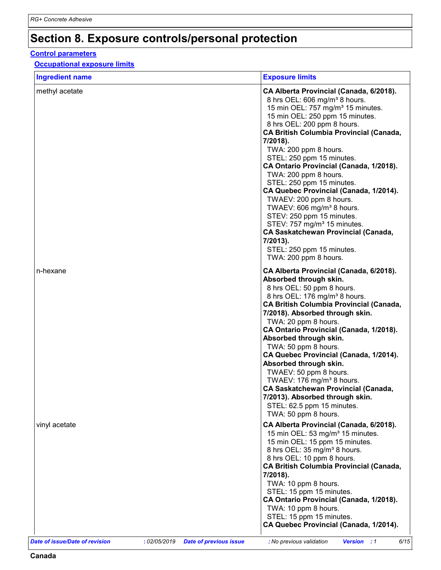### **Section 8. Exposure controls/personal protection**

#### **Control parameters**

#### **Occupational exposure limits**

| <b>Ingredient name</b> | <b>Exposure limits</b>                                                                                                                                                                                                                                                                                                                                                                                                                                                                                                                                                                                                                                                                                                             |
|------------------------|------------------------------------------------------------------------------------------------------------------------------------------------------------------------------------------------------------------------------------------------------------------------------------------------------------------------------------------------------------------------------------------------------------------------------------------------------------------------------------------------------------------------------------------------------------------------------------------------------------------------------------------------------------------------------------------------------------------------------------|
| methyl acetate         | CA Alberta Provincial (Canada, 6/2018).<br>8 hrs OEL: 606 mg/m <sup>3</sup> 8 hours.<br>15 min OEL: 757 mg/m <sup>3</sup> 15 minutes.<br>15 min OEL: 250 ppm 15 minutes.<br>8 hrs OEL: 200 ppm 8 hours.<br><b>CA British Columbia Provincial (Canada,</b><br>7/2018).<br>TWA: 200 ppm 8 hours.<br>STEL: 250 ppm 15 minutes.<br>CA Ontario Provincial (Canada, 1/2018).<br>TWA: 200 ppm 8 hours.<br>STEL: 250 ppm 15 minutes.<br>CA Quebec Provincial (Canada, 1/2014).<br>TWAEV: 200 ppm 8 hours.<br>TWAEV: 606 mg/m <sup>3</sup> 8 hours.<br>STEV: 250 ppm 15 minutes.<br>STEV: 757 mg/m <sup>3</sup> 15 minutes.<br><b>CA Saskatchewan Provincial (Canada,</b><br>7/2013).<br>STEL: 250 ppm 15 minutes.<br>TWA: 200 ppm 8 hours. |
| n-hexane               | CA Alberta Provincial (Canada, 6/2018).<br>Absorbed through skin.<br>8 hrs OEL: 50 ppm 8 hours.<br>8 hrs OEL: 176 mg/m <sup>3</sup> 8 hours.<br><b>CA British Columbia Provincial (Canada,</b><br>7/2018). Absorbed through skin.<br>TWA: 20 ppm 8 hours.<br>CA Ontario Provincial (Canada, 1/2018).<br>Absorbed through skin.<br>TWA: 50 ppm 8 hours.<br>CA Quebec Provincial (Canada, 1/2014).<br>Absorbed through skin.<br>TWAEV: 50 ppm 8 hours.<br>TWAEV: 176 mg/m <sup>3</sup> 8 hours.<br><b>CA Saskatchewan Provincial (Canada,</b><br>7/2013). Absorbed through skin.<br>STEL: 62.5 ppm 15 minutes.<br>TWA: 50 ppm 8 hours.                                                                                               |
| vinyl acetate          | CA Alberta Provincial (Canada, 6/2018).<br>15 min OEL: 53 mg/m <sup>3</sup> 15 minutes.<br>15 min OEL: 15 ppm 15 minutes.<br>8 hrs OEL: 35 mg/m <sup>3</sup> 8 hours.<br>8 hrs OEL: 10 ppm 8 hours.<br><b>CA British Columbia Provincial (Canada,</b><br>7/2018).<br>TWA: 10 ppm 8 hours.<br>STEL: 15 ppm 15 minutes.<br>CA Ontario Provincial (Canada, 1/2018).<br>TWA: 10 ppm 8 hours.<br>STEL: 15 ppm 15 minutes.<br>CA Quebec Provincial (Canada, 1/2014).                                                                                                                                                                                                                                                                     |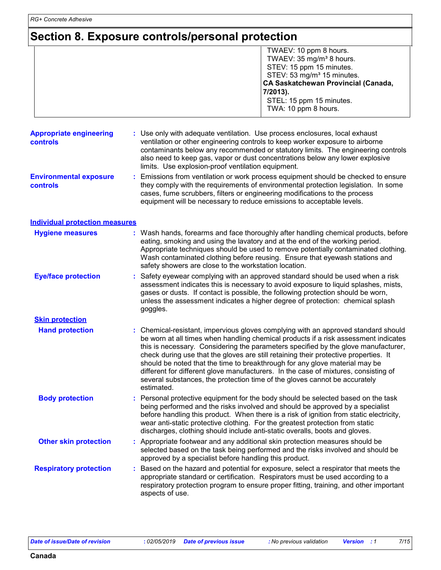### **Section 8. Exposure controls/personal protection**

|                                                   | TWAEV: 10 ppm 8 hours.<br>TWAEV: 35 mg/m <sup>3</sup> 8 hours.<br>STEV: 15 ppm 15 minutes.<br>STEV: 53 mg/m <sup>3</sup> 15 minutes.<br><b>CA Saskatchewan Provincial (Canada,</b><br>7/2013).<br>STEL: 15 ppm 15 minutes.<br>TWA: 10 ppm 8 hours.                                                                                                                                                                                                                                                                                                                                                                        |  |  |
|---------------------------------------------------|---------------------------------------------------------------------------------------------------------------------------------------------------------------------------------------------------------------------------------------------------------------------------------------------------------------------------------------------------------------------------------------------------------------------------------------------------------------------------------------------------------------------------------------------------------------------------------------------------------------------------|--|--|
| <b>Appropriate engineering</b><br><b>controls</b> | : Use only with adequate ventilation. Use process enclosures, local exhaust<br>ventilation or other engineering controls to keep worker exposure to airborne<br>contaminants below any recommended or statutory limits. The engineering controls<br>also need to keep gas, vapor or dust concentrations below any lower explosive<br>limits. Use explosion-proof ventilation equipment.                                                                                                                                                                                                                                   |  |  |
| <b>Environmental exposure</b><br><b>controls</b>  | Emissions from ventilation or work process equipment should be checked to ensure<br>they comply with the requirements of environmental protection legislation. In some<br>cases, fume scrubbers, filters or engineering modifications to the process<br>equipment will be necessary to reduce emissions to acceptable levels.                                                                                                                                                                                                                                                                                             |  |  |
| <b>Individual protection measures</b>             |                                                                                                                                                                                                                                                                                                                                                                                                                                                                                                                                                                                                                           |  |  |
| <b>Hygiene measures</b>                           | : Wash hands, forearms and face thoroughly after handling chemical products, before<br>eating, smoking and using the lavatory and at the end of the working period.<br>Appropriate techniques should be used to remove potentially contaminated clothing.<br>Wash contaminated clothing before reusing. Ensure that eyewash stations and<br>safety showers are close to the workstation location.                                                                                                                                                                                                                         |  |  |
| <b>Eye/face protection</b>                        | Safety eyewear complying with an approved standard should be used when a risk<br>assessment indicates this is necessary to avoid exposure to liquid splashes, mists,<br>gases or dusts. If contact is possible, the following protection should be worn,<br>unless the assessment indicates a higher degree of protection: chemical splash<br>goggles.                                                                                                                                                                                                                                                                    |  |  |
| <b>Skin protection</b>                            |                                                                                                                                                                                                                                                                                                                                                                                                                                                                                                                                                                                                                           |  |  |
| <b>Hand protection</b>                            | : Chemical-resistant, impervious gloves complying with an approved standard should<br>be worn at all times when handling chemical products if a risk assessment indicates<br>this is necessary. Considering the parameters specified by the glove manufacturer,<br>check during use that the gloves are still retaining their protective properties. It<br>should be noted that the time to breakthrough for any glove material may be<br>different for different glove manufacturers. In the case of mixtures, consisting of<br>several substances, the protection time of the gloves cannot be accurately<br>estimated. |  |  |
| <b>Body protection</b>                            | : Personal protective equipment for the body should be selected based on the task<br>being performed and the risks involved and should be approved by a specialist<br>before handling this product. When there is a risk of ignition from static electricity,<br>wear anti-static protective clothing. For the greatest protection from static<br>discharges, clothing should include anti-static overalls, boots and gloves.                                                                                                                                                                                             |  |  |
| <b>Other skin protection</b>                      | : Appropriate footwear and any additional skin protection measures should be<br>selected based on the task being performed and the risks involved and should be<br>approved by a specialist before handling this product.                                                                                                                                                                                                                                                                                                                                                                                                 |  |  |
| <b>Respiratory protection</b>                     | : Based on the hazard and potential for exposure, select a respirator that meets the<br>appropriate standard or certification. Respirators must be used according to a<br>respiratory protection program to ensure proper fitting, training, and other important<br>aspects of use.                                                                                                                                                                                                                                                                                                                                       |  |  |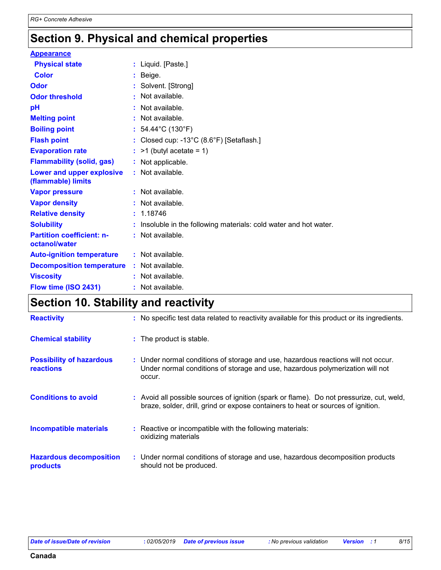### **Section 9. Physical and chemical properties**

| <b>Appearance</b>                                 |                |                                                                 |
|---------------------------------------------------|----------------|-----------------------------------------------------------------|
| <b>Physical state</b>                             |                | : Liquid. [Paste.]                                              |
| Color                                             |                | Beige.                                                          |
| Odor                                              |                | Solvent. [Strong]                                               |
| <b>Odor threshold</b>                             | $\blacksquare$ | Not available.                                                  |
| рH                                                |                | Not available.                                                  |
| <b>Melting point</b>                              |                | Not available.                                                  |
| <b>Boiling point</b>                              |                | : $54.44^{\circ}$ C (130 $^{\circ}$ F)                          |
| <b>Flash point</b>                                |                | : Closed cup: -13°C (8.6°F) [Setaflash.]                        |
| <b>Evaporation rate</b>                           |                | $:$ >1 (butyl acetate = 1)                                      |
| <b>Flammability (solid, gas)</b>                  |                | : Not applicable.                                               |
| Lower and upper explosive<br>(flammable) limits   |                | : Not available.                                                |
| <b>Vapor pressure</b>                             |                | $:$ Not available.                                              |
| <b>Vapor density</b>                              |                | : Not available.                                                |
| <b>Relative density</b>                           |                | : 1.18746                                                       |
| <b>Solubility</b>                                 |                | Insoluble in the following materials: cold water and hot water. |
| <b>Partition coefficient: n-</b><br>octanol/water |                | : Not available.                                                |
| <b>Auto-ignition temperature</b>                  |                | : Not available.                                                |
| <b>Decomposition temperature</b>                  |                | : Not available.                                                |
| <b>Viscosity</b>                                  |                | Not available.                                                  |
| Flow time (ISO 2431)                              |                | Not available.                                                  |
|                                                   |                |                                                                 |

### **Section 10. Stability and reactivity**

| <b>Reactivity</b>                                   | : No specific test data related to reactivity available for this product or its ingredients.                                                                                 |
|-----------------------------------------------------|------------------------------------------------------------------------------------------------------------------------------------------------------------------------------|
| <b>Chemical stability</b>                           | : The product is stable.                                                                                                                                                     |
| <b>Possibility of hazardous</b><br><b>reactions</b> | : Under normal conditions of storage and use, hazardous reactions will not occur.<br>Under normal conditions of storage and use, hazardous polymerization will not<br>occur. |
| <b>Conditions to avoid</b>                          | : Avoid all possible sources of ignition (spark or flame). Do not pressurize, cut, weld,<br>braze, solder, drill, grind or expose containers to heat or sources of ignition. |
| <b>Incompatible materials</b>                       | : Reactive or incompatible with the following materials:<br>oxidizing materials                                                                                              |
| <b>Hazardous decomposition</b><br>products          | : Under normal conditions of storage and use, hazardous decomposition products<br>should not be produced.                                                                    |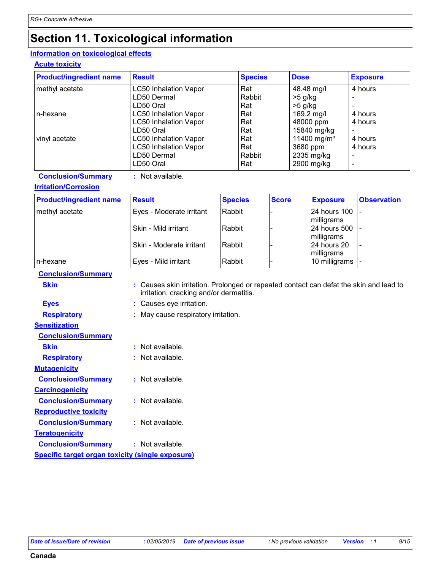### **Section 11. Toxicological information**

#### **Information on toxicological effects**

#### **Acute toxicity**

| <b>Product/ingredient name</b> | <b>Result</b>                | <b>Species</b> | <b>Dose</b>             | <b>Exposure</b> |
|--------------------------------|------------------------------|----------------|-------------------------|-----------------|
| methyl acetate                 | <b>LC50 Inhalation Vapor</b> | Rat            | 48.48 mg/l              | 4 hours         |
|                                | LD50 Dermal                  | Rabbit         | $>5$ g/kg               |                 |
|                                | LD50 Oral                    | Rat            | $>5$ g/kg               |                 |
| n-hexane                       | LC50 Inhalation Vapor        | Rat            | 169.2 mg/l              | 4 hours         |
|                                | <b>LC50 Inhalation Vapor</b> | Rat            | 48000 ppm               | 4 hours         |
|                                | LD50 Oral                    | Rat            | 15840 mg/kg             |                 |
| vinyl acetate                  | LC50 Inhalation Vapor        | Rat            | 11400 mg/m <sup>3</sup> | 4 hours         |
|                                | <b>LC50 Inhalation Vapor</b> | Rat            | 3680 ppm                | 4 hours         |
|                                | LD50 Dermal                  | Rabbit         | 2335 mg/kg              |                 |
|                                | LD50 Oral                    | Rat            | 2900 mg/kg              |                 |

**Conclusion/Summary :** Not available.

#### **Irritation/Corrosion**

| <b>Product/ingredient name</b> | <b>Result</b>            | <b>Species</b> | <b>Score</b> | <b>Exposure</b> | <b>Observation</b> |
|--------------------------------|--------------------------|----------------|--------------|-----------------|--------------------|
| methyl acetate                 | Eyes - Moderate irritant | Rabbit         |              | 24 hours 100    |                    |
|                                |                          |                |              | milligrams      |                    |
|                                | Skin - Mild irritant     | Rabbit         |              | 24 hours 500    |                    |
|                                |                          |                |              | milligrams      |                    |
|                                | Skin - Moderate irritant | Rabbit         |              | 24 hours 20     |                    |
|                                |                          |                |              | milligrams      |                    |
| n-hexane                       | Eyes - Mild irritant     | Rabbit         |              | 10 milligrams   |                    |

#### **Conclusion/Summary**

| Skin | : Causes skin irritation. Prolonged or repeated contact can defat the skin and lead to |
|------|----------------------------------------------------------------------------------------|
|      | irritation, cracking and/or dermatitis.                                                |

- **Eyes :** Causes eye irritation.
- **Respiratory :** May cause respiratory irritation.

| <b>Sensitization</b>                                    |                      |
|---------------------------------------------------------|----------------------|
| <b>Conclusion/Summary</b>                               |                      |
| Skin                                                    | Not available.<br>ŧ. |
| <b>Respiratory</b>                                      | : Not available.     |
| <b>Mutagenicity</b>                                     |                      |
| <b>Conclusion/Summary</b>                               | : Not available.     |
| <b>Carcinogenicity</b>                                  |                      |
| <b>Conclusion/Summary</b>                               | : Not available.     |
| <b>Reproductive toxicity</b>                            |                      |
| <b>Conclusion/Summary</b>                               | $:$ Not available.   |
| <b>Teratogenicity</b>                                   |                      |
| <b>Conclusion/Summary</b>                               | : Not available.     |
| <u>Specific target organ toxicity (single exposure)</u> |                      |
|                                                         |                      |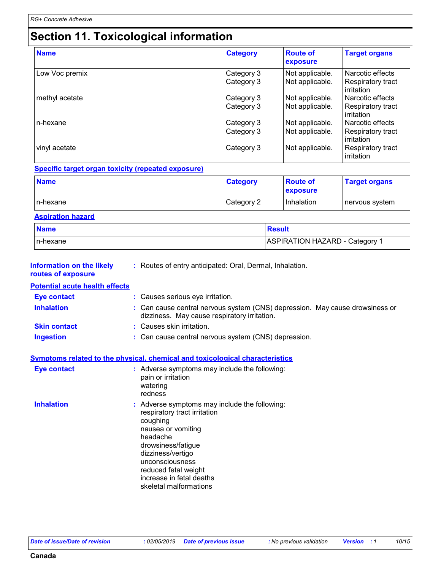## **Section 11. Toxicological information**

| <b>Name</b>    | <b>Category</b>          | <b>Route of</b><br>exposure        | <b>Target organs</b>                                |
|----------------|--------------------------|------------------------------------|-----------------------------------------------------|
| Low Voc premix | Category 3<br>Category 3 | Not applicable.<br>Not applicable. | Narcotic effects<br>Respiratory tract<br>irritation |
| methyl acetate | Category 3<br>Category 3 | Not applicable.<br>Not applicable. | Narcotic effects<br>Respiratory tract<br>irritation |
| n-hexane       | Category 3<br>Category 3 | Not applicable.<br>Not applicable. | Narcotic effects<br>Respiratory tract<br>irritation |
| vinyl acetate  | Category 3               | Not applicable.                    | Respiratory tract<br>irritation                     |

#### **Specific target organ toxicity (repeated exposure)**

| <b>Name</b> | <b>Category</b> | <b>Route of</b><br><b>exposure</b> | <b>Target organs</b> |
|-------------|-----------------|------------------------------------|----------------------|
| In-hexane   | Category 2      | <b>Inhalation</b>                  | nervous system       |

#### **Aspiration hazard**

| <b>Name</b> | Result                         |
|-------------|--------------------------------|
| In-hexane   | ASPIRATION HAZARD - Category 1 |

| Information on the likely<br>routes of exposure | : Routes of entry anticipated: Oral, Dermal, Inhalation.                                                                                                                                                                                                                |
|-------------------------------------------------|-------------------------------------------------------------------------------------------------------------------------------------------------------------------------------------------------------------------------------------------------------------------------|
| <b>Potential acute health effects</b>           |                                                                                                                                                                                                                                                                         |
| <b>Eye contact</b>                              | : Causes serious eye irritation.                                                                                                                                                                                                                                        |
| <b>Inhalation</b>                               | : Can cause central nervous system (CNS) depression. May cause drowsiness or<br>dizziness. May cause respiratory irritation.                                                                                                                                            |
| <b>Skin contact</b>                             | : Causes skin irritation.                                                                                                                                                                                                                                               |
| <b>Ingestion</b>                                | : Can cause central nervous system (CNS) depression.                                                                                                                                                                                                                    |
|                                                 | Symptoms related to the physical, chemical and toxicological characteristics                                                                                                                                                                                            |
| <b>Eye contact</b>                              | : Adverse symptoms may include the following:<br>pain or irritation<br>watering<br>redness                                                                                                                                                                              |
| <b>Inhalation</b>                               | : Adverse symptoms may include the following:<br>respiratory tract irritation<br>coughing<br>nausea or vomiting<br>headache<br>drowsiness/fatigue<br>dizziness/vertigo<br>unconsciousness<br>reduced fetal weight<br>increase in fetal deaths<br>skeletal malformations |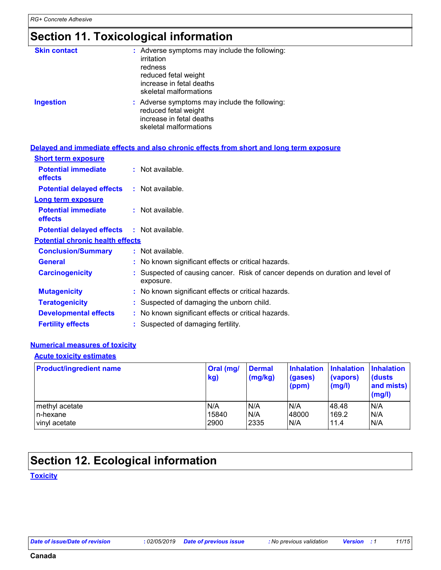### **Section 11. Toxicological information**

| <b>Skin contact</b> | : Adverse symptoms may include the following:<br>irritation<br>redness<br>reduced fetal weight<br>increase in fetal deaths<br>skeletal malformations |
|---------------------|------------------------------------------------------------------------------------------------------------------------------------------------------|
| <b>Ingestion</b>    | : Adverse symptoms may include the following:<br>reduced fetal weight<br>increase in fetal deaths<br>skeletal malformations                          |

#### **Delayed and immediate effects and also chronic effects from short and long term exposure**

| <b>Short term exposure</b>                   |                                                                                           |
|----------------------------------------------|-------------------------------------------------------------------------------------------|
| <b>Potential immediate</b><br><b>effects</b> | $:$ Not available.                                                                        |
| <b>Potential delayed effects</b>             | : Not available.                                                                          |
| <b>Long term exposure</b>                    |                                                                                           |
| <b>Potential immediate</b><br><b>effects</b> | $:$ Not available.                                                                        |
| <b>Potential delayed effects</b>             | : Not available.                                                                          |
| <b>Potential chronic health effects</b>      |                                                                                           |
| <b>Conclusion/Summary</b>                    | : Not available.                                                                          |
| <b>General</b>                               | : No known significant effects or critical hazards.                                       |
| <b>Carcinogenicity</b>                       | Suspected of causing cancer. Risk of cancer depends on duration and level of<br>exposure. |
| <b>Mutagenicity</b>                          | : No known significant effects or critical hazards.                                       |
| <b>Teratogenicity</b>                        | : Suspected of damaging the unborn child.                                                 |
| <b>Developmental effects</b>                 | : No known significant effects or critical hazards.                                       |
| <b>Fertility effects</b>                     | : Suspected of damaging fertility.                                                        |

#### **Numerical measures of toxicity**

#### **Acute toxicity estimates**

| <b>Product/ingredient name</b> | <b>Oral</b> (mg/<br>kg) | <b>Dermal</b><br>(mg/kg) | <b>Inhalation</b><br>(gases)<br>(ppm) | <b>Inhalation</b><br>(vapors)<br>$\mathsf{mgl}()$ | <b>Inhalation</b><br><b>(dusts)</b><br>and mists)<br>(mg/l) |
|--------------------------------|-------------------------|--------------------------|---------------------------------------|---------------------------------------------------|-------------------------------------------------------------|
| methyl acetate                 | N/A                     | N/A                      | N/A                                   | 48.48                                             | N/A                                                         |
| n-hexane                       | 15840                   | N/A                      | 48000                                 | 169.2                                             | N/A                                                         |
| vinyl acetate                  | 2900                    | 2335                     | N/A                                   | 11.4                                              | N/A                                                         |

### **Section 12. Ecological information**

#### **Toxicity**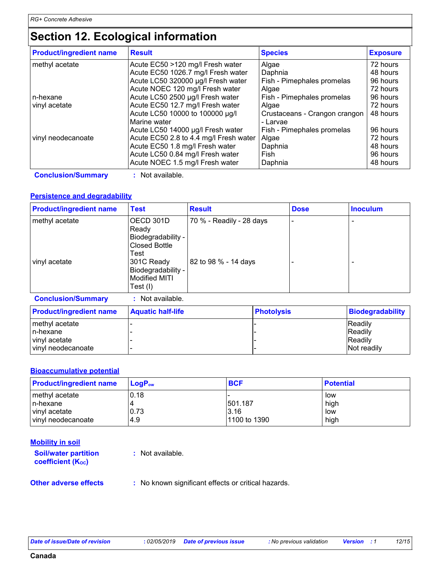### **Section 12. Ecological information**

| <b>Product/ingredient name</b> | <b>Result</b>                          | <b>Species</b>                | <b>Exposure</b> |
|--------------------------------|----------------------------------------|-------------------------------|-----------------|
| methyl acetate                 | Acute EC50 >120 mg/l Fresh water       | Algae                         | 72 hours        |
|                                | Acute EC50 1026.7 mg/l Fresh water     | Daphnia                       | 48 hours        |
|                                | Acute LC50 320000 µg/l Fresh water     | Fish - Pimephales promelas    | 96 hours        |
|                                | Acute NOEC 120 mg/l Fresh water        | Algae                         | 72 hours        |
| In-hexane                      | Acute LC50 2500 µg/l Fresh water       | Fish - Pimephales promelas    | 96 hours        |
| vinyl acetate                  | Acute EC50 12.7 mg/l Fresh water       | Algae                         | 72 hours        |
|                                | Acute LC50 10000 to 100000 µg/l        | Crustaceans - Crangon crangon | 48 hours        |
|                                | Marine water                           | - Larvae                      |                 |
|                                | Acute LC50 14000 µg/l Fresh water      | Fish - Pimephales promelas    | 96 hours        |
| vinyl neodecanoate             | Acute EC50 2.8 to 4.4 mg/l Fresh water | Algae                         | 72 hours        |
|                                | Acute EC50 1.8 mg/l Fresh water        | Daphnia                       | 48 hours        |
|                                | Acute LC50 0.84 mg/l Fresh water       | Fish                          | 96 hours        |
|                                | Acute NOEC 1.5 mg/l Fresh water        | Daphnia                       | 48 hours        |

**Conclusion/Summary :** Not available.

#### **Persistence and degradability**

| <b>Product/ingredient name</b> | <b>Test</b>                                                       | <b>Result</b>            | <b>Dose</b> | <b>Inoculum</b>          |
|--------------------------------|-------------------------------------------------------------------|--------------------------|-------------|--------------------------|
| methyl acetate                 | OECD 301D<br>Ready<br>Biodegradability -<br>Closed Bottle<br>Test | 70 % - Readily - 28 days |             |                          |
| vinyl acetate                  | 301C Ready<br>Biodegradability -<br>Modified MITI<br>Test $(I)$   | 82 to 98 % - 14 days     |             | $\overline{\phantom{0}}$ |

**Conclusion/Summary :** Not available.

| <b>Product/ingredient name</b> | <b>Aquatic half-life</b> | <b>Photolysis</b> | <b>Biodegradability</b> |
|--------------------------------|--------------------------|-------------------|-------------------------|
| methyl acetate                 |                          |                   | <b>IReadily</b>         |
| In-hexane                      |                          |                   | Readily                 |
| vinyl acetate                  |                          |                   | Readily                 |
| vinyl neodecanoate             |                          |                   | Not readily             |

#### **Bioaccumulative potential**

| <b>Product/ingredient name</b> | $LoaPow$ | <b>BCF</b>   | <b>Potential</b> |
|--------------------------------|----------|--------------|------------------|
| methyl acetate                 | 0.18     |              | low              |
| In-hexane                      |          | 501.187      | high             |
| vinyl acetate                  | 0.73     | 3.16         | low              |
| vinyl neodecanoate             | 4.9      | 1100 to 1390 | high             |

| <b>Mobility in soil</b>                                 |                                                     |
|---------------------------------------------------------|-----------------------------------------------------|
| <b>Soil/water partition</b><br><b>coefficient (Koc)</b> | : Not available.                                    |
| <b>Other adverse effects</b>                            | : No known significant effects or critical hazards. |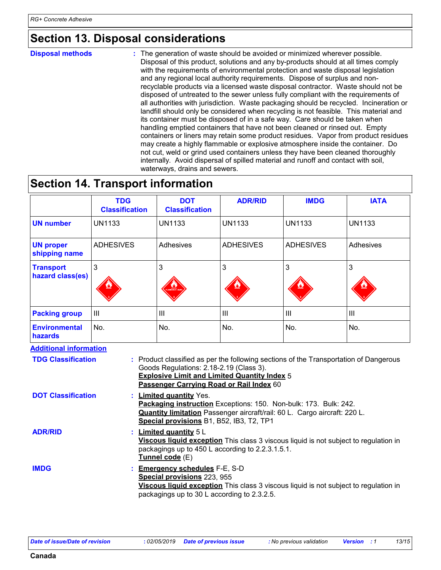### **Section 13. Disposal considerations**

#### The generation of waste should be avoided or minimized wherever possible. Disposal of this product, solutions and any by-products should at all times comply with the requirements of environmental protection and waste disposal legislation and any regional local authority requirements. Dispose of surplus and nonrecyclable products via a licensed waste disposal contractor. Waste should not be disposed of untreated to the sewer unless fully compliant with the requirements of all authorities with jurisdiction. Waste packaging should be recycled. Incineration or landfill should only be considered when recycling is not feasible. This material and its container must be disposed of in a safe way. Care should be taken when handling emptied containers that have not been cleaned or rinsed out. Empty containers or liners may retain some product residues. Vapor from product residues may create a highly flammable or explosive atmosphere inside the container. Do not cut, weld or grind used containers unless they have been cleaned thoroughly internally. Avoid dispersal of spilled material and runoff and contact with soil, waterways, drains and sewers. **Disposal methods :**

### **Section 14. Transport information**

|                                                                                                                                                                                                         | <b>TDG</b><br><b>Classification</b> | <b>DOT</b><br><b>Classification</b>                                                                                                                                                                                         | <b>ADR/RID</b>                                                                                                                               | <b>IMDG</b>      | <b>IATA</b>   |
|---------------------------------------------------------------------------------------------------------------------------------------------------------------------------------------------------------|-------------------------------------|-----------------------------------------------------------------------------------------------------------------------------------------------------------------------------------------------------------------------------|----------------------------------------------------------------------------------------------------------------------------------------------|------------------|---------------|
| <b>UN number</b>                                                                                                                                                                                        | <b>UN1133</b>                       | <b>UN1133</b>                                                                                                                                                                                                               | <b>UN1133</b>                                                                                                                                | <b>UN1133</b>    | <b>UN1133</b> |
| <b>UN proper</b><br>shipping name                                                                                                                                                                       | <b>ADHESIVES</b>                    | Adhesives                                                                                                                                                                                                                   | <b>ADHESIVES</b>                                                                                                                             | <b>ADHESIVES</b> | Adhesives     |
| <b>Transport</b><br>hazard class(es)                                                                                                                                                                    | 3                                   | 3                                                                                                                                                                                                                           | 3                                                                                                                                            | 3                | 3             |
| <b>Packing group</b>                                                                                                                                                                                    | III                                 | III                                                                                                                                                                                                                         | III                                                                                                                                          | III              | III           |
| <b>Environmental</b><br>hazards                                                                                                                                                                         | No.                                 | No.                                                                                                                                                                                                                         | No.                                                                                                                                          | No.              | No.           |
| <b>Additional information</b><br><b>TDG Classification</b>                                                                                                                                              |                                     | Goods Regulations: 2.18-2.19 (Class 3).<br>Passenger Carrying Road or Rail Index 60                                                                                                                                         | : Product classified as per the following sections of the Transportation of Dangerous<br><b>Explosive Limit and Limited Quantity Index 5</b> |                  |               |
| <b>DOT Classification</b>                                                                                                                                                                               |                                     | : Limited quantity Yes.<br>Packaging instruction Exceptions: 150. Non-bulk: 173. Bulk: 242.<br><b>Quantity limitation</b> Passenger aircraft/rail: 60 L. Cargo aircraft: 220 L.<br>Special provisions B1, B52, IB3, T2, TP1 |                                                                                                                                              |                  |               |
| <b>ADR/RID</b><br>: Limited quantity 5 L<br>Viscous liquid exception This class 3 viscous liquid is not subject to regulation in<br>packagings up to 450 L according to 2.2.3.1.5.1.<br>Tunnel code (E) |                                     |                                                                                                                                                                                                                             |                                                                                                                                              |                  |               |

| <b>IMDG</b> | <b>Emergency schedules F-E, S-D</b>                                                                                               |
|-------------|-----------------------------------------------------------------------------------------------------------------------------------|
|             | <b>Special provisions 223, 955</b><br><b>Viscous liquid exception</b> This class 3 viscous liquid is not subject to regulation in |
|             | packagings up to 30 L according to 2.3.2.5.                                                                                       |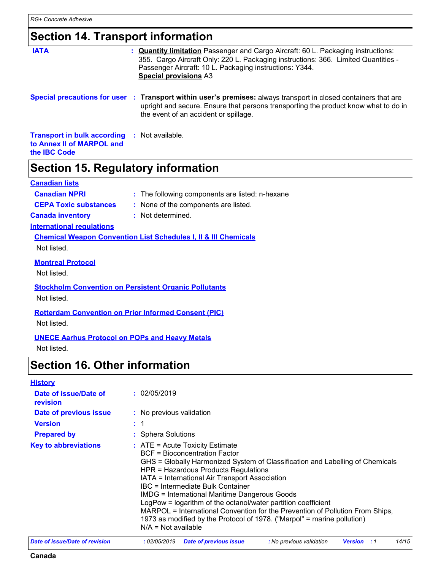### **Section 14. Transport information**

| <b>IATA</b>                                                                            | : <b>Quantity limitation</b> Passenger and Cargo Aircraft: 60 L. Packaging instructions:<br>355. Cargo Aircraft Only: 220 L. Packaging instructions: 366. Limited Quantities -<br>Passenger Aircraft: 10 L. Packaging instructions: Y344.<br><b>Special provisions A3</b> |
|----------------------------------------------------------------------------------------|---------------------------------------------------------------------------------------------------------------------------------------------------------------------------------------------------------------------------------------------------------------------------|
|                                                                                        | Special precautions for user : Transport within user's premises: always transport in closed containers that are<br>upright and secure. Ensure that persons transporting the product know what to do in<br>the event of an accident or spillage.                           |
| <b>Transport in bulk according</b><br>to Annex II of MARPOL and<br>the <b>IBC</b> Code | : Not available.                                                                                                                                                                                                                                                          |
| Section 15. Regulatory information                                                     |                                                                                                                                                                                                                                                                           |
| <b>Canadian lists</b>                                                                  |                                                                                                                                                                                                                                                                           |
| <b>Canadian NPRI</b>                                                                   | : The following components are listed: n-hexane                                                                                                                                                                                                                           |
| <b>CEPA Toxic substances</b>                                                           | : None of the components are listed.                                                                                                                                                                                                                                      |
| <b>Canada inventory</b>                                                                | : Not determined.                                                                                                                                                                                                                                                         |
| <b>International regulations</b>                                                       |                                                                                                                                                                                                                                                                           |
|                                                                                        | <b>Chemical Weapon Convention List Schedules I, II &amp; III Chemicals</b>                                                                                                                                                                                                |
| Not listed.                                                                            |                                                                                                                                                                                                                                                                           |

**Montreal Protocol**

Not listed.

**Stockholm Convention on Persistent Organic Pollutants** Not listed.

**Rotterdam Convention on Prior Informed Consent (PIC)**

Not listed.

**UNECE Aarhus Protocol on POPs and Heavy Metals**

Not listed.

### **Section 16. Other information**

| <b>History</b> |  |
|----------------|--|
|                |  |

| _________                         |                                                                                                                                                                                                                                                                                                                                                                                                                                                                                                                                                                                                                |
|-----------------------------------|----------------------------------------------------------------------------------------------------------------------------------------------------------------------------------------------------------------------------------------------------------------------------------------------------------------------------------------------------------------------------------------------------------------------------------------------------------------------------------------------------------------------------------------------------------------------------------------------------------------|
| Date of issue/Date of<br>revision | : 02/05/2019                                                                                                                                                                                                                                                                                                                                                                                                                                                                                                                                                                                                   |
| Date of previous issue            | : No previous validation                                                                                                                                                                                                                                                                                                                                                                                                                                                                                                                                                                                       |
| <b>Version</b>                    | : 1                                                                                                                                                                                                                                                                                                                                                                                                                                                                                                                                                                                                            |
| <b>Prepared by</b>                | : Sphera Solutions                                                                                                                                                                                                                                                                                                                                                                                                                                                                                                                                                                                             |
| <b>Key to abbreviations</b>       | $:$ ATE = Acute Toxicity Estimate<br><b>BCF</b> = Bioconcentration Factor<br>GHS = Globally Harmonized System of Classification and Labelling of Chemicals<br>HPR = Hazardous Products Regulations<br>IATA = International Air Transport Association<br><b>IBC</b> = Intermediate Bulk Container<br><b>IMDG = International Maritime Dangerous Goods</b><br>LogPow = logarithm of the octanol/water partition coefficient<br>MARPOL = International Convention for the Prevention of Pollution From Ships,<br>1973 as modified by the Protocol of 1978. ("Marpol" = marine pollution)<br>$N/A = Not available$ |